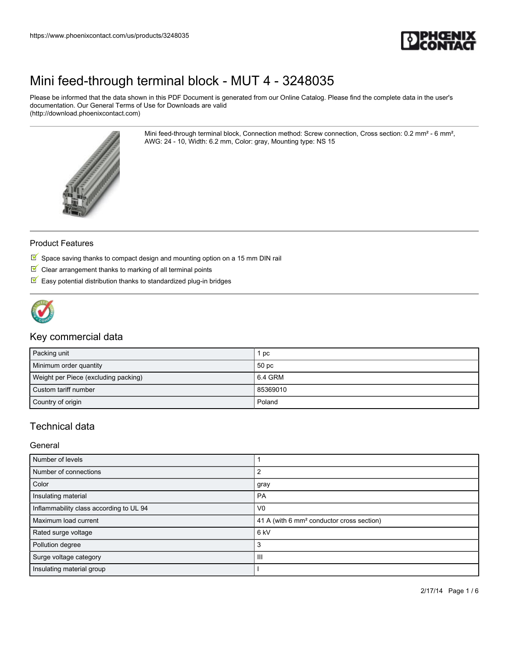

Please be informed that the data shown in this PDF Document is generated from our Online Catalog. Please find the complete data in the user's documentation. Our General Terms of Use for Downloads are valid (http://download.phoenixcontact.com)

> Mini feed-through terminal block, Connection method: Screw connection, Cross section: 0.2 mm² - 6 mm², AWG: 24 - 10, Width: 6.2 mm, Color: gray, Mounting type: NS 15



### Product Features

- $\overline{\mathbb{M}}$  Space saving thanks to compact design and mounting option on a 15 mm DIN rail
- $\blacksquare$  Clear arrangement thanks to marking of all terminal points
- $\blacksquare$  Easy potential distribution thanks to standardized plug-in bridges



### Key commercial data

| Packing unit                         | рc               |
|--------------------------------------|------------------|
| Minimum order quantity               | 50 <sub>pc</sub> |
| Weight per Piece (excluding packing) | 6.4 GRM          |
| Custom tariff number                 | 85369010         |
| Country of origin                    | Poland           |

## Technical data

General

| Number of levels                        |                                                       |  |
|-----------------------------------------|-------------------------------------------------------|--|
| Number of connections                   |                                                       |  |
| Color                                   | gray                                                  |  |
| Insulating material                     | PA                                                    |  |
| Inflammability class according to UL 94 | V <sub>0</sub>                                        |  |
| Maximum load current                    | 41 A (with 6 mm <sup>2</sup> conductor cross section) |  |
| Rated surge voltage                     | 6 <sub>kV</sub>                                       |  |
| Pollution degree                        | 3                                                     |  |
| Surge voltage category                  | Ш                                                     |  |
| Insulating material group               |                                                       |  |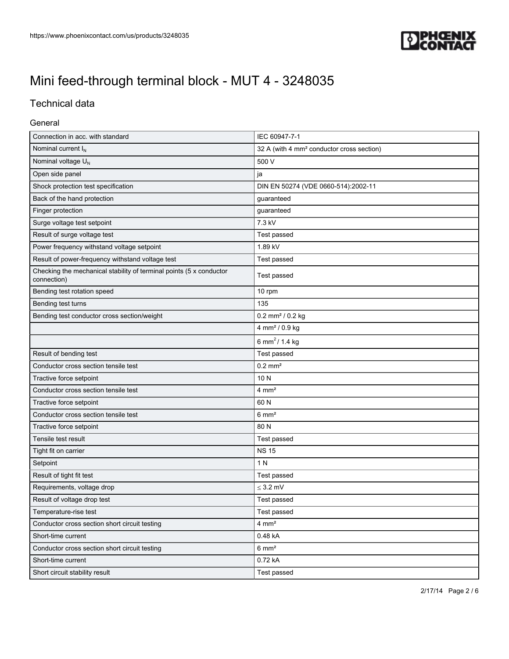

## Technical data

### General

| Connection in acc. with standard                                                   | IEC 60947-7-1                                         |  |
|------------------------------------------------------------------------------------|-------------------------------------------------------|--|
| Nominal current I <sub>N</sub>                                                     | 32 A (with 4 mm <sup>2</sup> conductor cross section) |  |
| Nominal voltage U <sub>N</sub>                                                     | 500 V                                                 |  |
| Open side panel                                                                    | ja                                                    |  |
| Shock protection test specification                                                | DIN EN 50274 (VDE 0660-514):2002-11                   |  |
| Back of the hand protection                                                        | guaranteed                                            |  |
| Finger protection                                                                  | guaranteed                                            |  |
| Surge voltage test setpoint                                                        | 7.3 kV                                                |  |
| Result of surge voltage test                                                       | Test passed                                           |  |
| Power frequency withstand voltage setpoint                                         | 1.89 kV                                               |  |
| Result of power-frequency withstand voltage test                                   | Test passed                                           |  |
| Checking the mechanical stability of terminal points (5 x conductor<br>connection) | Test passed                                           |  |
| Bending test rotation speed                                                        | 10 rpm                                                |  |
| Bending test turns                                                                 | 135                                                   |  |
| Bending test conductor cross section/weight                                        | $0.2$ mm <sup>2</sup> / $0.2$ kg                      |  |
|                                                                                    | 4 mm <sup>2</sup> / 0.9 kg                            |  |
|                                                                                    | 6 mm <sup>2</sup> / 1.4 kg                            |  |
| Result of bending test                                                             | Test passed                                           |  |
| Conductor cross section tensile test                                               | $0.2$ mm <sup>2</sup>                                 |  |
| Tractive force setpoint                                                            | 10 N                                                  |  |
| Conductor cross section tensile test                                               | $4 \text{ mm}^2$                                      |  |
| Tractive force setpoint                                                            | 60 N                                                  |  |
| Conductor cross section tensile test                                               | $6 \text{ mm}^2$                                      |  |
| Tractive force setpoint                                                            | 80 N                                                  |  |
| Tensile test result                                                                | Test passed                                           |  |
| Tight fit on carrier                                                               | <b>NS 15</b>                                          |  |
| Setpoint                                                                           | 1 N                                                   |  |
| Result of tight fit test                                                           | Test passed                                           |  |
| Requirements, voltage drop                                                         | $\leq$ 3.2 mV                                         |  |
| Result of voltage drop test                                                        | Test passed                                           |  |
| Temperature-rise test                                                              | Test passed                                           |  |
| Conductor cross section short circuit testing                                      | $4 \text{ mm}^2$                                      |  |
| Short-time current                                                                 | 0.48 kA                                               |  |
| Conductor cross section short circuit testing                                      | $6 \text{ mm}^2$                                      |  |
| Short-time current                                                                 | 0.72 kA                                               |  |
| Short circuit stability result                                                     | Test passed                                           |  |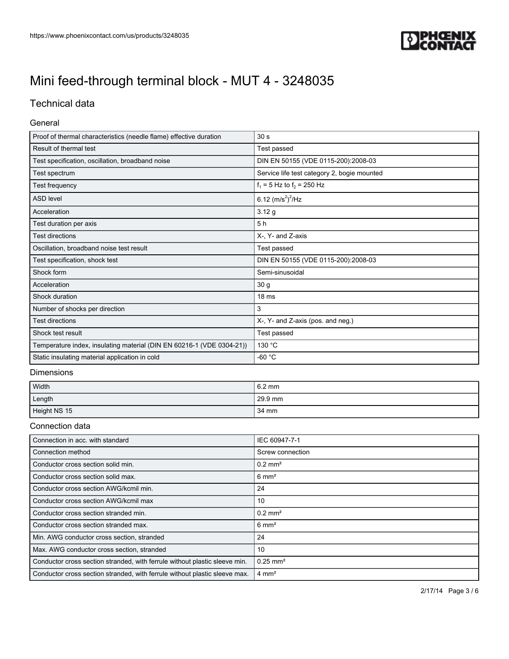

## Technical data

### General

| Proof of thermal characteristics (needle flame) effective duration    | 30 <sub>s</sub>                             |  |
|-----------------------------------------------------------------------|---------------------------------------------|--|
| Result of thermal test                                                | Test passed                                 |  |
| Test specification, oscillation, broadband noise                      | DIN EN 50155 (VDE 0115-200):2008-03         |  |
| Test spectrum                                                         | Service life test category 2, bogie mounted |  |
| Test frequency                                                        | $f_1 = 5$ Hz to $f_2 = 250$ Hz              |  |
| <b>ASD level</b>                                                      | 6.12 $(m/s^2)^2$ /Hz                        |  |
| Acceleration                                                          | 3.12g                                       |  |
| Test duration per axis                                                | 5h                                          |  |
| <b>Test directions</b>                                                | X-, Y- and Z-axis                           |  |
| Oscillation, broadband noise test result                              | Test passed                                 |  |
| Test specification, shock test                                        | DIN EN 50155 (VDE 0115-200):2008-03         |  |
| Shock form                                                            | Semi-sinusoidal                             |  |
| Acceleration                                                          | 30 <sub>g</sub>                             |  |
| Shock duration                                                        | 18 <sub>ms</sub>                            |  |
| Number of shocks per direction                                        | 3                                           |  |
| <b>Test directions</b>                                                | X-, Y- and Z-axis (pos. and neg.)           |  |
| Shock test result                                                     | Test passed                                 |  |
| Temperature index, insulating material (DIN EN 60216-1 (VDE 0304-21)) | 130 °C                                      |  |
| Static insulating material application in cold                        | -60 °C                                      |  |

### Dimensions

| Width        | $6.2 \text{ mm}$ |
|--------------|------------------|
| Length       | 29.9 mm          |
| Height NS 15 | $34 \text{ mm}$  |

### Connection data

| Connection in acc. with standard                                           | IEC 60947-7-1          |
|----------------------------------------------------------------------------|------------------------|
| Connection method                                                          | Screw connection       |
| Conductor cross section solid min.                                         | $0.2$ mm <sup>2</sup>  |
| Conductor cross section solid max.                                         | $6 \text{ mm}^2$       |
| Conductor cross section AWG/kcmil min.                                     | 24                     |
| Conductor cross section AWG/kcmil max                                      | 10                     |
| Conductor cross section stranded min.                                      | $0.2$ mm <sup>2</sup>  |
| Conductor cross section stranded max.                                      | $6 \text{ mm}^2$       |
| Min. AWG conductor cross section, stranded                                 | 24                     |
| Max. AWG conductor cross section, stranded                                 | 10                     |
| Conductor cross section stranded, with ferrule without plastic sleeve min. | $0.25$ mm <sup>2</sup> |
| Conductor cross section stranded, with ferrule without plastic sleeve max. | $4 \text{ mm}^2$       |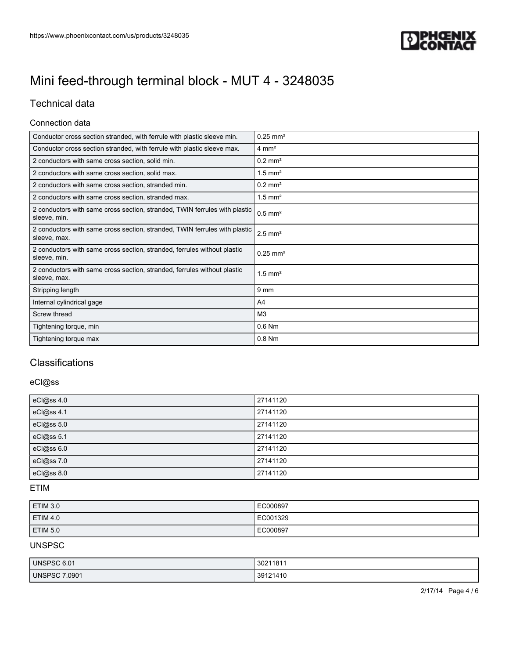

## Technical data

#### Connection data

| Conductor cross section stranded, with ferrule with plastic sleeve min.                    | $0.25$ mm <sup>2</sup> |
|--------------------------------------------------------------------------------------------|------------------------|
| Conductor cross section stranded, with ferrule with plastic sleeve max.                    | $4 \text{ mm}^2$       |
| 2 conductors with same cross section, solid min.                                           | $0.2$ mm <sup>2</sup>  |
| 2 conductors with same cross section, solid max.                                           | $1.5$ mm <sup>2</sup>  |
| 2 conductors with same cross section, stranded min.                                        | $0.2$ mm <sup>2</sup>  |
| 2 conductors with same cross section, stranded max.                                        | $1.5$ mm <sup>2</sup>  |
| 2 conductors with same cross section, stranded, TWIN ferrules with plastic<br>sleeve, min. | $0.5$ mm <sup>2</sup>  |
| 2 conductors with same cross section, stranded, TWIN ferrules with plastic<br>sleeve, max. | $2.5$ mm <sup>2</sup>  |
| 2 conductors with same cross section, stranded, ferrules without plastic<br>sleeve, min.   | $0.25$ mm <sup>2</sup> |
| 2 conductors with same cross section, stranded, ferrules without plastic<br>sleeve, max.   | $1.5$ mm <sup>2</sup>  |
| Stripping length                                                                           | 9 <sub>mm</sub>        |
| Internal cylindrical gage                                                                  | A4                     |
| Screw thread                                                                               | M <sub>3</sub>         |
| Tightening torque, min                                                                     | $0.6$ Nm               |
| Tightening torque max                                                                      | $0.8$ Nm               |

## **Classifications**

## eCl@ss

| eCl@ss 4.0 | 27141120 |
|------------|----------|
| eCl@ss 4.1 | 27141120 |
| eCl@ss 5.0 | 27141120 |
| eCl@ss 5.1 | 27141120 |
| eCl@ss 6.0 | 27141120 |
| eCl@ss 7.0 | 27141120 |
| eCl@ss 8.0 | 27141120 |

## ETIM

| <b>ETIM 3.0</b> | EC000897 |
|-----------------|----------|
| <b>ETIM 4.0</b> | EC001329 |
| <b>ETIM 5.0</b> | EC000897 |

## UNSPSC

| <b>UNSPSC 6.01</b>            | 3021181  |
|-------------------------------|----------|
| 7.0901<br>UNSPSC <sub>7</sub> | 39121410 |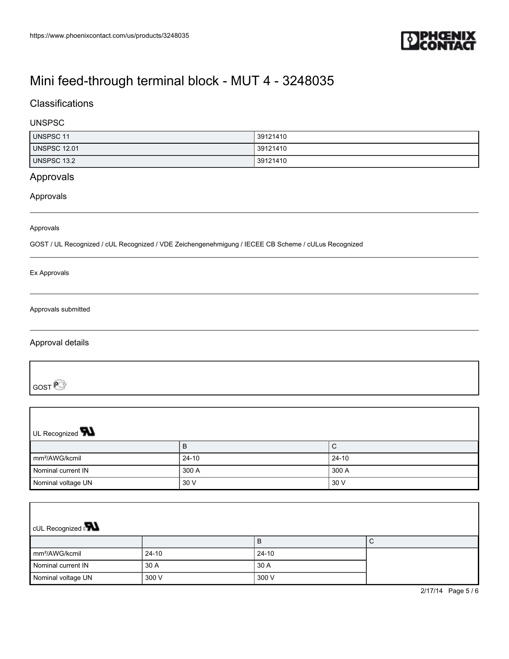

## **Classifications**

### UNSPSC

| <b>UNSPSC 11</b>    | 39121410 |
|---------------------|----------|
| <b>UNSPSC 12.01</b> | 39121410 |
| UNSPSC 13.2         | 39121410 |

## Approvals

#### Approvals

#### Approvals

GOST / UL Recognized / cUL Recognized / VDE Zeichengenehmigung / IECEE CB Scheme / cULus Recognized

#### Ex Approvals

#### Approvals submitted

### Approval details

GOST<sup>P</sup>

| UL Recognized <b>W</b>     |         |           |  |
|----------------------------|---------|-----------|--|
|                            | B       | С         |  |
| mm <sup>2</sup> /AWG/kcmil | $24-10$ | $24 - 10$ |  |
| Nominal current IN         | 300 A   | 300 A     |  |
| Nominal voltage UN         | 30 V    | 30 V      |  |

| <b>CUL Recognized</b>      |       |         |  |  |
|----------------------------|-------|---------|--|--|
|                            |       | B       |  |  |
| mm <sup>2</sup> /AWG/kcmil | 24-10 | $24-10$ |  |  |
| Nominal current IN         | 30 A  | 30 A    |  |  |
| Nominal voltage UN         | 300 V | 300 V   |  |  |